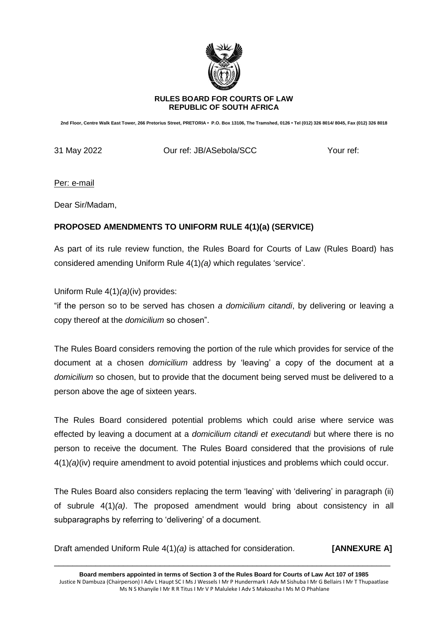

### **RULES BOARD FOR COURTS OF LAW REPUBLIC OF SOUTH AFRICA**

**2nd Floor, Centre Walk East Tower, 266 Pretorius Street, PRETORIA • P.O. Box 13106, The Tramshed, 0126 • Tel (012) 326 8014/ 8045, Fax (012) 326 8018**

31 May 2022 **Durief: JB/ASebola/SCC** Your ref:

Per: e-mail

Dear Sir/Madam,

## **PROPOSED AMENDMENTS TO UNIFORM RULE 4(1)(a) (SERVICE)**

As part of its rule review function, the Rules Board for Courts of Law (Rules Board) has considered amending Uniform Rule 4(1)*(a)* which regulates 'service'.

Uniform Rule 4(1)*(a)*(iv) provides:

"if the person so to be served has chosen *a domicilium citandi*, by delivering or leaving a copy thereof at the *domicilium* so chosen".

The Rules Board considers removing the portion of the rule which provides for service of the document at a chosen *domicilium* address by 'leaving' a copy of the document at a *domicilium* so chosen, but to provide that the document being served must be delivered to a person above the age of sixteen years.

The Rules Board considered potential problems which could arise where service was effected by leaving a document at a *domicilium citandi et executandi* but where there is no person to receive the document. The Rules Board considered that the provisions of rule 4(1)*(a)*(iv) require amendment to avoid potential injustices and problems which could occur.

The Rules Board also considers replacing the term 'leaving' with 'delivering' in paragraph (ii) of subrule 4(1)*(a)*. The proposed amendment would bring about consistency in all subparagraphs by referring to 'delivering' of a document.

Draft amended Uniform Rule 4(1)*(a)* is attached for consideration. **[ANNEXURE A]**

**Board members appointed in terms of Section 3 of the Rules Board for Courts of Law Act 107 of 1985** Justice N Dambuza (Chairperson) I Adv L Haupt SC I Ms J Wessels I Mr P Hundermark I Adv M Sishuba I Mr G Bellairs I Mr T Thupaatlase Ms N S Khanyile I Mr R R Titus I Mr V P Maluleke I Adv S Makoasha I Ms M O Phahlane

\_\_\_\_\_\_\_\_\_\_\_\_\_\_\_\_\_\_\_\_\_\_\_\_\_\_\_\_\_\_\_\_\_\_\_\_\_\_\_\_\_\_\_\_\_\_\_\_\_\_\_\_\_\_\_\_\_\_\_\_\_\_\_\_\_\_\_\_\_\_\_\_\_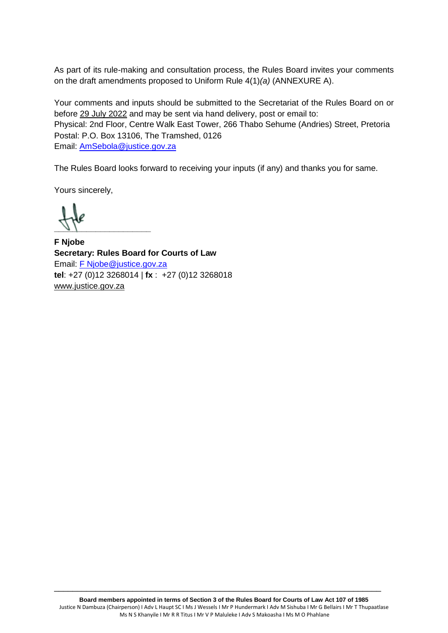As part of its rule-making and consultation process, the Rules Board invites your comments on the draft amendments proposed to Uniform Rule 4(1)*(a)* (ANNEXURE A).

Your comments and inputs should be submitted to the Secretariat of the Rules Board on or before 29 July 2022 and may be sent via hand delivery, post or email to: Physical: 2nd Floor, Centre Walk East Tower, 266 Thabo Sehume (Andries) Street, Pretoria Postal: P.O. Box 13106, The Tramshed, 0126 Email: [AmSebola@justice.gov.za](mailto:AmSebola@justice.gov.za)

The Rules Board looks forward to receiving your inputs (if any) and thanks you for same.

Yours sincerely,

 $\frac{1}{2}$ 

**F Njobe Secretary: Rules Board for Courts of Law**  Email: [F Njobe@justice.gov.za](mailto:F%20Njobe@justice.gov.za) **tel**: +27 (0)12 3268014 | **fx** : +27 (0)12 3268018 [www.justice.gov.za](http://www.justice.gov.za/)

\_\_\_\_\_\_\_\_\_\_\_\_\_\_\_\_\_\_\_\_\_\_\_\_\_\_\_\_\_\_\_\_\_\_\_\_\_\_\_\_\_\_\_\_\_\_\_\_\_\_\_\_\_\_\_\_\_\_\_\_\_\_\_\_\_\_\_\_\_\_\_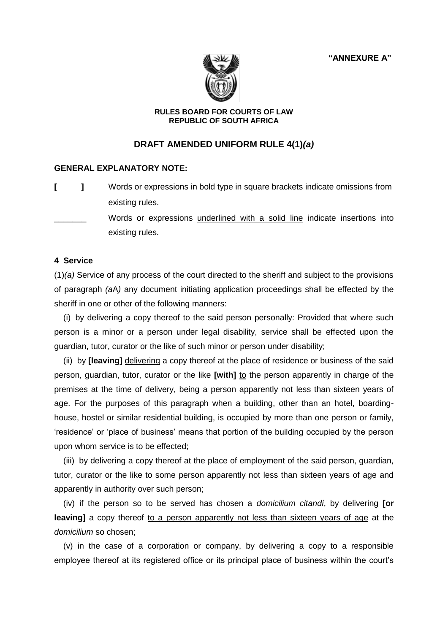**"ANNEXURE A"**



### **RULES BOARD FOR COURTS OF LAW REPUBLIC OF SOUTH AFRICA**

# **DRAFT AMENDED UNIFORM RULE 4(1)***(a)*

## **GENERAL EXPLANATORY NOTE:**

**[ ]** Words or expressions in bold type in square brackets indicate omissions from existing rules.

Words or expressions underlined with a solid line indicate insertions into existing rules.

### **4 Service**

(1)*(a)* Service of any process of the court directed to the sheriff and subject to the provisions of paragraph *(a*A*)* any document initiating application proceedings shall be effected by the sheriff in one or other of the following manners:

 (i) by delivering a copy thereof to the said person personally: Provided that where such person is a minor or a person under legal disability, service shall be effected upon the guardian, tutor, curator or the like of such minor or person under disability;

 (ii) by **[leaving]** delivering a copy thereof at the place of residence or business of the said person, guardian, tutor, curator or the like [with] to the person apparently in charge of the premises at the time of delivery, being a person apparently not less than sixteen years of age. For the purposes of this paragraph when a building, other than an hotel, boardinghouse, hostel or similar residential building, is occupied by more than one person or family, 'residence' or 'place of business' means that portion of the building occupied by the person upon whom service is to be effected;

 (iii) by delivering a copy thereof at the place of employment of the said person, guardian, tutor, curator or the like to some person apparently not less than sixteen years of age and apparently in authority over such person;

 (iv) if the person so to be served has chosen a *domicilium citandi*, by delivering **[or leaving]** a copy thereof to a person apparently not less than sixteen years of age at the *domicilium* so chosen;

 (v) in the case of a corporation or company, by delivering a copy to a responsible employee thereof at its registered office or its principal place of business within the court's